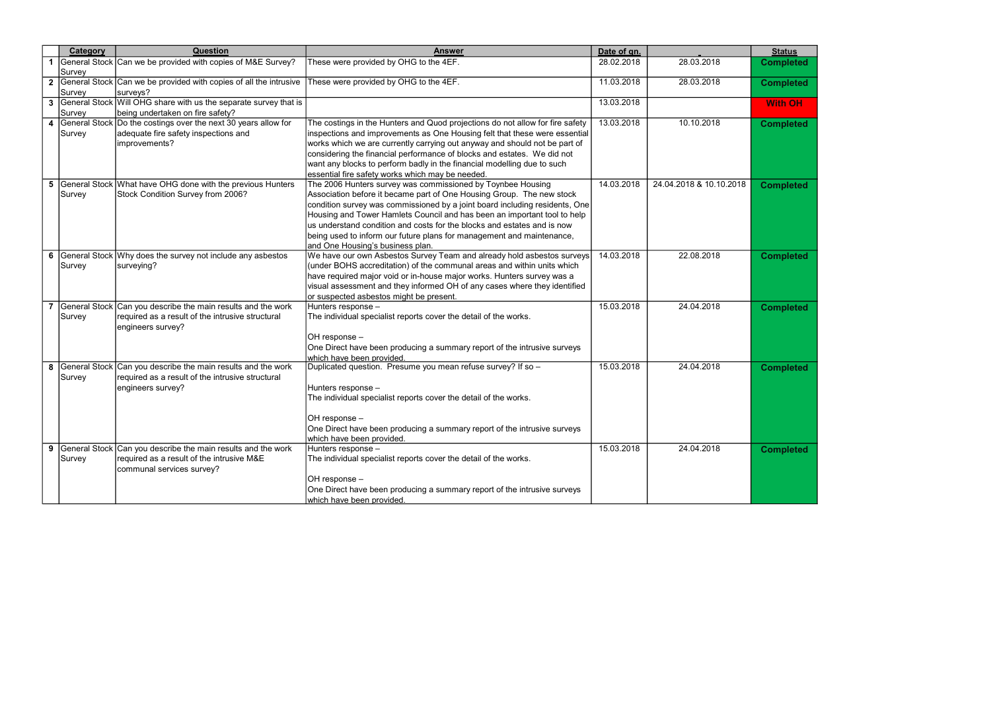|                | Category | <b>Question</b>                                                                                                                        | <b>Answer</b>                                                                                                                                                                                                                                                                                                                                                                                                                                                                           | Date of qn. |                         | <b>Status</b>    |
|----------------|----------|----------------------------------------------------------------------------------------------------------------------------------------|-----------------------------------------------------------------------------------------------------------------------------------------------------------------------------------------------------------------------------------------------------------------------------------------------------------------------------------------------------------------------------------------------------------------------------------------------------------------------------------------|-------------|-------------------------|------------------|
|                | Survey   | General Stock Can we be provided with copies of M&E Survey?                                                                            | These were provided by OHG to the 4EF.                                                                                                                                                                                                                                                                                                                                                                                                                                                  | 28.02.2018  | 28.03.2018              | <b>Completed</b> |
|                | Survey   | 2 General Stock Can we be provided with copies of all the intrusive<br>surveys?                                                        | These were provided by OHG to the 4EF.                                                                                                                                                                                                                                                                                                                                                                                                                                                  | 11.03.2018  | 28.03.2018              | <b>Completed</b> |
|                | Survey   | 3 General Stock Will OHG share with us the separate survey that is<br>being undertaken on fire safety?                                 |                                                                                                                                                                                                                                                                                                                                                                                                                                                                                         | 13.03.2018  |                         | <b>With OH</b>   |
| 4              | Survey   | General Stock Do the costings over the next 30 years allow for<br>adequate fire safety inspections and<br>improvements?                | The costings in the Hunters and Quod projections do not allow for fire safety<br>inspections and improvements as One Housing felt that these were essential<br>works which we are currently carrying out anyway and should not be part of<br>considering the financial performance of blocks and estates. We did not<br>want any blocks to perform badly in the financial modelling due to such<br>essential fire safety works which may be needed.                                     | 13.03.2018  | 10.10.2018              | <b>Completed</b> |
| 5              | Survey   | General Stock What have OHG done with the previous Hunters<br>Stock Condition Survey from 2006?                                        | The 2006 Hunters survey was commissioned by Toynbee Housing<br>Association before it became part of One Housing Group. The new stock<br>condition survey was commissioned by a joint board including residents, One<br>Housing and Tower Hamlets Council and has been an important tool to help<br>us understand condition and costs for the blocks and estates and is now<br>being used to inform our future plans for management and maintenance,<br>and One Housing's business plan. | 14.03.2018  | 24.04.2018 & 10.10.2018 | <b>Completed</b> |
| 6              | Survey   | General Stock Why does the survey not include any asbestos<br>surveying?                                                               | We have our own Asbestos Survey Team and already hold asbestos surveys<br>(under BOHS accreditation) of the communal areas and within units which<br>have required major void or in-house major works. Hunters survey was a<br>visual assessment and they informed OH of any cases where they identified<br>or suspected asbestos might be present.                                                                                                                                     | 14.03.2018  | 22.08.2018              | <b>Completed</b> |
| $\overline{7}$ | Survey   | General Stock Can you describe the main results and the work<br>required as a result of the intrusive structural<br>engineers survey?  | Hunters response -<br>The individual specialist reports cover the detail of the works.<br>OH response -<br>One Direct have been producing a summary report of the intrusive surveys<br>which have been provided.                                                                                                                                                                                                                                                                        | 15.03.2018  | 24.04.2018              | <b>Completed</b> |
| 8              | Survey   | General Stock Can you describe the main results and the work<br>required as a result of the intrusive structural<br>engineers survey?  | Duplicated question. Presume you mean refuse survey? If so -<br>Hunters response -<br>The individual specialist reports cover the detail of the works.<br>OH response -<br>One Direct have been producing a summary report of the intrusive surveys<br>which have been provided.                                                                                                                                                                                                        | 15.03.2018  | 24.04.2018              | <b>Completed</b> |
| 9              | Survey   | General Stock Can you describe the main results and the work<br>required as a result of the intrusive M&E<br>communal services survey? | Hunters response -<br>The individual specialist reports cover the detail of the works.<br>OH response -<br>One Direct have been producing a summary report of the intrusive surveys<br>which have been provided.                                                                                                                                                                                                                                                                        | 15.03.2018  | 24.04.2018              | <b>Completed</b> |

| <u>Status</u>    |
|------------------|
| <b>Completed</b> |
| Completed        |
| <b>With OH</b>   |
| <b>Completed</b> |
| <b>Completed</b> |
| <b>Completed</b> |
| <b>Completed</b> |
| <b>Completed</b> |
| <b>Completed</b> |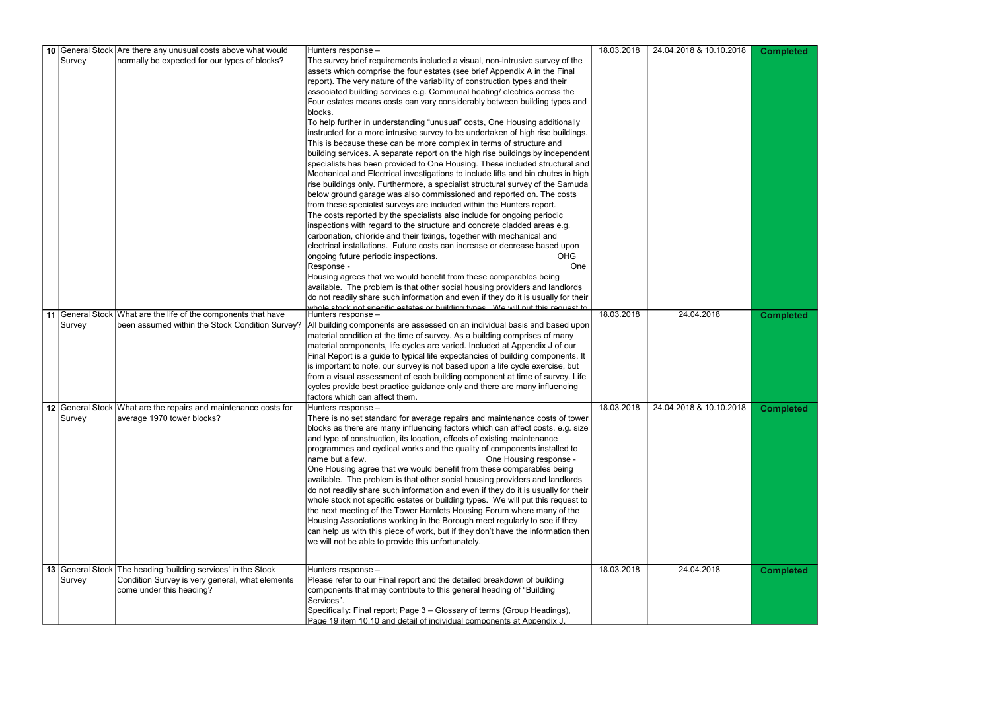|        | 10 General Stock Are there any unusual costs above what would   | Hunters response -                                                                                    | 18.03.2018 | 24.04.2018 & 10.10.2018 | <b>Completed</b> |
|--------|-----------------------------------------------------------------|-------------------------------------------------------------------------------------------------------|------------|-------------------------|------------------|
| Survey | normally be expected for our types of blocks?                   | The survey brief requirements included a visual, non-intrusive survey of the                          |            |                         |                  |
|        |                                                                 | assets which comprise the four estates (see brief Appendix A in the Final                             |            |                         |                  |
|        |                                                                 | report). The very nature of the variability of construction types and their                           |            |                         |                  |
|        |                                                                 | associated building services e.g. Communal heating/ electrics across the                              |            |                         |                  |
|        |                                                                 | Four estates means costs can vary considerably between building types and                             |            |                         |                  |
|        |                                                                 | blocks.                                                                                               |            |                         |                  |
|        |                                                                 | To help further in understanding "unusual" costs, One Housing additionally                            |            |                         |                  |
|        |                                                                 | instructed for a more intrusive survey to be undertaken of high rise buildings.                       |            |                         |                  |
|        |                                                                 | This is because these can be more complex in terms of structure and                                   |            |                         |                  |
|        |                                                                 | building services. A separate report on the high rise buildings by independent                        |            |                         |                  |
|        |                                                                 | specialists has been provided to One Housing. These included structural and                           |            |                         |                  |
|        |                                                                 | Mechanical and Electrical investigations to include lifts and bin chutes in high                      |            |                         |                  |
|        |                                                                 | rise buildings only. Furthermore, a specialist structural survey of the Samuda                        |            |                         |                  |
|        |                                                                 |                                                                                                       |            |                         |                  |
|        |                                                                 | below ground garage was also commissioned and reported on. The costs                                  |            |                         |                  |
|        |                                                                 | from these specialist surveys are included within the Hunters report.                                 |            |                         |                  |
|        |                                                                 | The costs reported by the specialists also include for ongoing periodic                               |            |                         |                  |
|        |                                                                 | inspections with regard to the structure and concrete cladded areas e.g.                              |            |                         |                  |
|        |                                                                 | carbonation, chloride and their fixings, together with mechanical and                                 |            |                         |                  |
|        |                                                                 | electrical installations. Future costs can increase or decrease based upon                            |            |                         |                  |
|        |                                                                 | ongoing future periodic inspections.<br><b>OHG</b>                                                    |            |                         |                  |
|        |                                                                 | Response -<br>One                                                                                     |            |                         |                  |
|        |                                                                 | Housing agrees that we would benefit from these comparables being                                     |            |                         |                  |
|        |                                                                 | available. The problem is that other social housing providers and landlords                           |            |                         |                  |
|        |                                                                 | do not readily share such information and even if they do it is usually for their                     |            |                         |                  |
|        | 11 General Stock What are the life of the components that have  | whole stock not specific estates or building types. We will nut this request to<br>Hunters response - | 18.03.2018 | 24.04.2018              | <b>Completed</b> |
| Survey | been assumed within the Stock Condition Survey?                 | All building components are assessed on an individual basis and based upon                            |            |                         |                  |
|        |                                                                 | material condition at the time of survey. As a building comprises of many                             |            |                         |                  |
|        |                                                                 | material components, life cycles are varied. Included at Appendix J of our                            |            |                         |                  |
|        |                                                                 | Final Report is a guide to typical life expectancies of building components. It                       |            |                         |                  |
|        |                                                                 | is important to note, our survey is not based upon a life cycle exercise, but                         |            |                         |                  |
|        |                                                                 | from a visual assessment of each building component at time of survey. Life                           |            |                         |                  |
|        |                                                                 | cycles provide best practice guidance only and there are many influencing                             |            |                         |                  |
|        |                                                                 | factors which can affect them.                                                                        |            |                         |                  |
|        | 12 General Stock What are the repairs and maintenance costs for | Hunters response -                                                                                    | 18.03.2018 | 24.04.2018 & 10.10.2018 | <b>Completed</b> |
| Survey | average 1970 tower blocks?                                      | There is no set standard for average repairs and maintenance costs of tower                           |            |                         |                  |
|        |                                                                 | blocks as there are many influencing factors which can affect costs. e.g. size                        |            |                         |                  |
|        |                                                                 | and type of construction, its location, effects of existing maintenance                               |            |                         |                  |
|        |                                                                 | programmes and cyclical works and the quality of components installed to                              |            |                         |                  |
|        |                                                                 | Iname but a few.<br>One Housing response -                                                            |            |                         |                  |
|        |                                                                 | One Housing agree that we would benefit from these comparables being                                  |            |                         |                  |
|        |                                                                 | available. The problem is that other social housing providers and landlords                           |            |                         |                  |
|        |                                                                 | do not readily share such information and even if they do it is usually for their                     |            |                         |                  |
|        |                                                                 | whole stock not specific estates or building types. We will put this request to                       |            |                         |                  |
|        |                                                                 | the next meeting of the Tower Hamlets Housing Forum where many of the                                 |            |                         |                  |
|        |                                                                 | Housing Associations working in the Borough meet regularly to see if they                             |            |                         |                  |
|        |                                                                 |                                                                                                       |            |                         |                  |
|        |                                                                 | $ $ can help us with this piece of work, but if they don't have the information then $ $              |            |                         |                  |
|        |                                                                 | we will not be able to provide this unfortunately.                                                    |            |                         |                  |
|        |                                                                 |                                                                                                       |            |                         |                  |
|        | 13 General Stock The heading 'building services' in the Stock   | Hunters response –                                                                                    | 18.03.2018 | 24.04.2018              | <b>Completed</b> |
| Survey | Condition Survey is very general, what elements                 | Please refer to our Final report and the detailed breakdown of building                               |            |                         |                  |
|        | come under this heading?                                        | components that may contribute to this general heading of "Building                                   |            |                         |                  |
|        |                                                                 | Services".                                                                                            |            |                         |                  |
|        |                                                                 | Specifically: Final report; Page 3 – Glossary of terms (Group Headings),                              |            |                         |                  |
|        |                                                                 | Page 19 item 10.10 and detail of individual components at Appendix J                                  |            |                         |                  |

| <b>Completed</b> |
|------------------|
| Completed        |
| <b>Completed</b> |
| Completed        |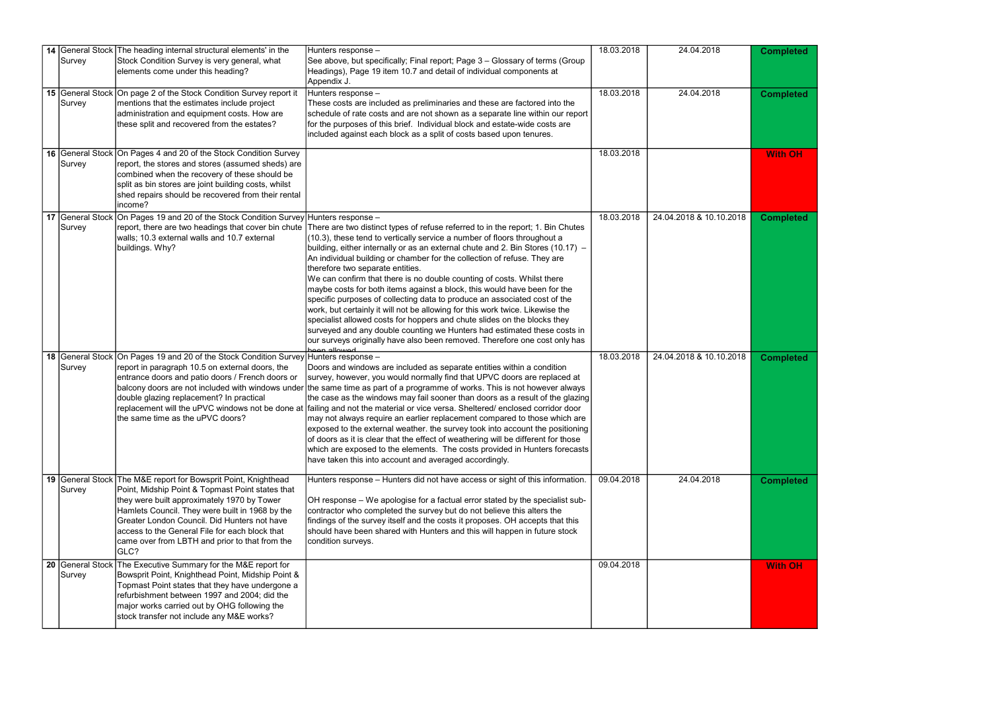| Survey | 14 General Stock The heading internal structural elements' in the<br>Stock Condition Survey is very general, what<br>elements come under this heading?                                                                                                                                                                                                                           | Hunters response -<br>See above, but specifically; Final report; Page 3 – Glossary of terms (Group<br>Headings), Page 19 item 10.7 and detail of individual components at<br>Appendix J.                                                                                                                                                                                                                                                                                                                                                                                                                                                                                                                                                                                                                                                                                                                                                                                                           | 18.03.2018 | 24.04.2018              | <b>Completed</b> |
|--------|----------------------------------------------------------------------------------------------------------------------------------------------------------------------------------------------------------------------------------------------------------------------------------------------------------------------------------------------------------------------------------|----------------------------------------------------------------------------------------------------------------------------------------------------------------------------------------------------------------------------------------------------------------------------------------------------------------------------------------------------------------------------------------------------------------------------------------------------------------------------------------------------------------------------------------------------------------------------------------------------------------------------------------------------------------------------------------------------------------------------------------------------------------------------------------------------------------------------------------------------------------------------------------------------------------------------------------------------------------------------------------------------|------------|-------------------------|------------------|
| Survey | 15 General Stock   On page 2 of the Stock Condition Survey report it<br>mentions that the estimates include project<br>administration and equipment costs. How are<br>these split and recovered from the estates?                                                                                                                                                                | Hunters response -<br>These costs are included as preliminaries and these are factored into the<br>schedule of rate costs and are not shown as a separate line within our report<br>for the purposes of this brief. Individual block and estate-wide costs are<br>included against each block as a split of costs based upon tenures.                                                                                                                                                                                                                                                                                                                                                                                                                                                                                                                                                                                                                                                              | 18.03.2018 | 24.04.2018              | <b>Completed</b> |
| Survey | 16 General Stock On Pages 4 and 20 of the Stock Condition Survey<br>report, the stores and stores (assumed sheds) are<br>combined when the recovery of these should be<br>split as bin stores are joint building costs, whilst<br>shed repairs should be recovered from their rental<br>lincome?                                                                                 |                                                                                                                                                                                                                                                                                                                                                                                                                                                                                                                                                                                                                                                                                                                                                                                                                                                                                                                                                                                                    | 18.03.2018 |                         | <b>With OH</b>   |
| Survey | 17 General Stock On Pages 19 and 20 of the Stock Condition Survey Hunters response -<br>walls; 10.3 external walls and 10.7 external<br>buildings. Why?                                                                                                                                                                                                                          | report, there are two headings that cover bin chute There are two distinct types of refuse referred to in the report; 1. Bin Chutes<br>$(10.3)$ , these tend to vertically service a number of floors throughout a<br> building, either internally or as an external chute and 2. Bin Stores (10.17) –<br>An individual building or chamber for the collection of refuse. They are<br>therefore two separate entities.<br>We can confirm that there is no double counting of costs. Whilst there<br>maybe costs for both items against a block, this would have been for the<br>specific purposes of collecting data to produce an associated cost of the<br>work, but certainly it will not be allowing for this work twice. Likewise the<br>specialist allowed costs for hoppers and chute slides on the blocks they<br>surveyed and any double counting we Hunters had estimated these costs in<br>our surveys originally have also been removed. Therefore one cost only has<br>امصيبصللت صمصد | 18.03.2018 | 24.04.2018 & 10.10.2018 | <b>Completed</b> |
| Survey | 18 General Stock On Pages 19 and 20 of the Stock Condition Survey Hunters response –<br>report in paragraph 10.5 on external doors, the<br>entrance doors and patio doors / French doors or<br>double glazing replacement? In practical<br>the same time as the uPVC doors?                                                                                                      | Doors and windows are included as separate entities within a condition<br>survey, however, you would normally find that UPVC doors are replaced at<br>balcony doors are not included with windows under the same time as part of a programme of works. This is not however always<br>the case as the windows may fail sooner than doors as a result of the glazing<br>replacement will the uPVC windows not be done at  failing and not the material or vice versa. Sheltered/enclosed corridor door<br>$\vert$ may not always require an earlier replacement compared to those which are<br>exposed to the external weather. the survey took into account the positioning<br>of doors as it is clear that the effect of weathering will be different for those<br> which are exposed to the elements. The costs provided in Hunters forecasts  <br>have taken this into account and averaged accordingly.                                                                                         | 18.03.2018 | 24.04.2018 & 10.10.2018 | <b>Completed</b> |
| Survey | 19 General Stock The M&E report for Bowsprit Point, Knighthead<br>Point, Midship Point & Topmast Point states that<br>they were built approximately 1970 by Tower<br>Hamlets Council. They were built in 1968 by the<br>Greater London Council. Did Hunters not have<br>access to the General File for each block that<br>came over from LBTH and prior to that from the<br>GLC? | Hunters response - Hunters did not have access or sight of this information.<br>OH response – We apologise for a factual error stated by the specialist sub-<br>contractor who completed the survey but do not believe this alters the<br>findings of the survey itself and the costs it proposes. OH accepts that this<br>should have been shared with Hunters and this will happen in future stock<br>condition surveys.                                                                                                                                                                                                                                                                                                                                                                                                                                                                                                                                                                         | 09.04.2018 | 24.04.2018              | <b>Completed</b> |
| Survey | 20 General Stock The Executive Summary for the M&E report for<br>Bowsprit Point, Knighthead Point, Midship Point &<br>Topmast Point states that they have undergone a<br>refurbishment between 1997 and 2004; did the<br>major works carried out by OHG following the<br>stock transfer not include any M&E works?                                                               |                                                                                                                                                                                                                                                                                                                                                                                                                                                                                                                                                                                                                                                                                                                                                                                                                                                                                                                                                                                                    | 09.04.2018 |                         | <b>With OH</b>   |

| <b>Completed</b><br><b>Completed</b> |
|--------------------------------------|
| <b>With OH</b>                       |
| <b>Completed</b>                     |
| <b>Completed</b>                     |
| Completed                            |
| <b>With OH</b>                       |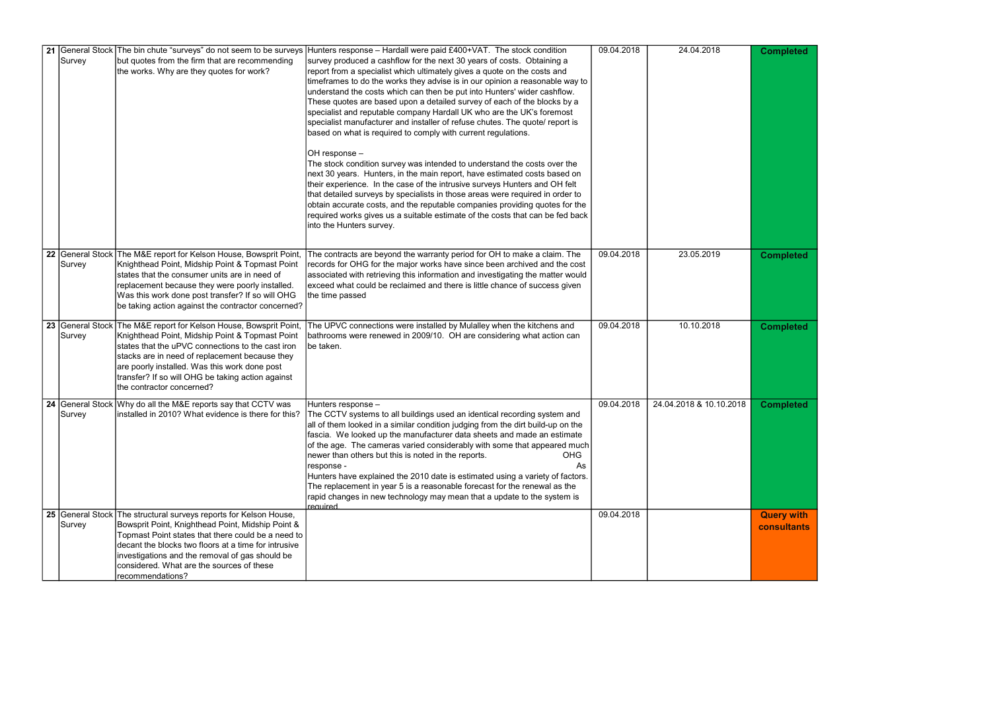|        | 21 General Stock The bin chute "surveys" do not seem to be surveys                                                                                                                                                                                                                                                                                             | Hunters response - Hardall were paid £400+VAT. The stock condition                                                                                                                                                                                                                                                                                                                                                                                                                                                                                                                                                                                                                                                                                                                                                                                                                                                                                                                                                                                                                                                                                         | 09.04.2018 | 24.04.2018              | <b>Completed</b>                 |
|--------|----------------------------------------------------------------------------------------------------------------------------------------------------------------------------------------------------------------------------------------------------------------------------------------------------------------------------------------------------------------|------------------------------------------------------------------------------------------------------------------------------------------------------------------------------------------------------------------------------------------------------------------------------------------------------------------------------------------------------------------------------------------------------------------------------------------------------------------------------------------------------------------------------------------------------------------------------------------------------------------------------------------------------------------------------------------------------------------------------------------------------------------------------------------------------------------------------------------------------------------------------------------------------------------------------------------------------------------------------------------------------------------------------------------------------------------------------------------------------------------------------------------------------------|------------|-------------------------|----------------------------------|
| Survey | but quotes from the firm that are recommending<br>the works. Why are they quotes for work?                                                                                                                                                                                                                                                                     | survey produced a cashflow for the next 30 years of costs.  Obtaining a<br>report from a specialist which ultimately gives a quote on the costs and<br>timeframes to do the works they advise is in our opinion a reasonable way to<br>understand the costs which can then be put into Hunters' wider cashflow.<br>These quotes are based upon a detailed survey of each of the blocks by a<br>specialist and reputable company Hardall UK who are the UK's foremost<br>specialist manufacturer and installer of refuse chutes. The quote/ report is<br>based on what is required to comply with current regulations.<br>OH response -<br>The stock condition survey was intended to understand the costs over the<br>next 30 years. Hunters, in the main report, have estimated costs based on<br>their experience. In the case of the intrusive surveys Hunters and OH felt<br>that detailed surveys by specialists in those areas were required in order to<br>obtain accurate costs, and the reputable companies providing quotes for the<br>required works gives us a suitable estimate of the costs that can be fed back<br>into the Hunters survey. |            |                         |                                  |
| Survey | 22 General Stock The M&E report for Kelson House, Bowsprit Point,<br>Knighthead Point, Midship Point & Topmast Point<br>states that the consumer units are in need of<br>replacement because they were poorly installed.<br>Was this work done post transfer? If so will OHG<br>be taking action against the contractor concerned?                             | The contracts are beyond the warranty period for OH to make a claim. The<br>records for OHG for the major works have since been archived and the cost<br>associated with retrieving this information and investigating the matter would<br>exceed what could be reclaimed and there is little chance of success given<br>the time passed                                                                                                                                                                                                                                                                                                                                                                                                                                                                                                                                                                                                                                                                                                                                                                                                                   | 09.04.2018 | 23.05.2019              | <b>Completed</b>                 |
| Survey | 23 General Stock The M&E report for Kelson House, Bowsprit Point,<br>Knighthead Point, Midship Point & Topmast Point<br>states that the uPVC connections to the cast iron<br>stacks are in need of replacement because they<br>are poorly installed. Was this work done post<br>transfer? If so will OHG be taking action against<br>the contractor concerned? | The UPVC connections were installed by Mulalley when the kitchens and<br>bathrooms were renewed in 2009/10. OH are considering what action can<br>be taken.                                                                                                                                                                                                                                                                                                                                                                                                                                                                                                                                                                                                                                                                                                                                                                                                                                                                                                                                                                                                | 09.04.2018 | 10.10.2018              | <b>Completed</b>                 |
| Survey | 24 General Stock Why do all the M&E reports say that CCTV was                                                                                                                                                                                                                                                                                                  | Hunters response -<br>installed in 2010? What evidence is there for this? The CCTV systems to all buildings used an identical recording system and<br>all of them looked in a similar condition judging from the dirt build-up on the<br>fascia. We looked up the manufacturer data sheets and made an estimate<br>of the age. The cameras varied considerably with some that appeared much<br>newer than others but this is noted in the reports.<br><b>OHG</b><br>As<br>response -<br>Hunters have explained the 2010 date is estimated using a variety of factors.<br>The replacement in year 5 is a reasonable forecast for the renewal as the<br>rapid changes in new technology may mean that a update to the system is<br>required                                                                                                                                                                                                                                                                                                                                                                                                                  | 09.04.2018 | 24.04.2018 & 10.10.2018 | <b>Completed</b>                 |
| Survey | 25 General Stock The structural surveys reports for Kelson House,<br>Bowsprit Point, Knighthead Point, Midship Point &<br>Topmast Point states that there could be a need to<br>decant the blocks two floors at a time for intrusive<br>investigations and the removal of gas should be<br>considered. What are the sources of these<br>recommendations?       |                                                                                                                                                                                                                                                                                                                                                                                                                                                                                                                                                                                                                                                                                                                                                                                                                                                                                                                                                                                                                                                                                                                                                            | 09.04.2018 |                         | <b>Query with</b><br>consultants |

|                | Completed                               |
|----------------|-----------------------------------------|
|                | <b>Completed</b>                        |
|                | <b>Completed</b>                        |
| $\overline{8}$ | <b>Completed</b>                        |
|                | <b>Query with</b><br><b>consultants</b> |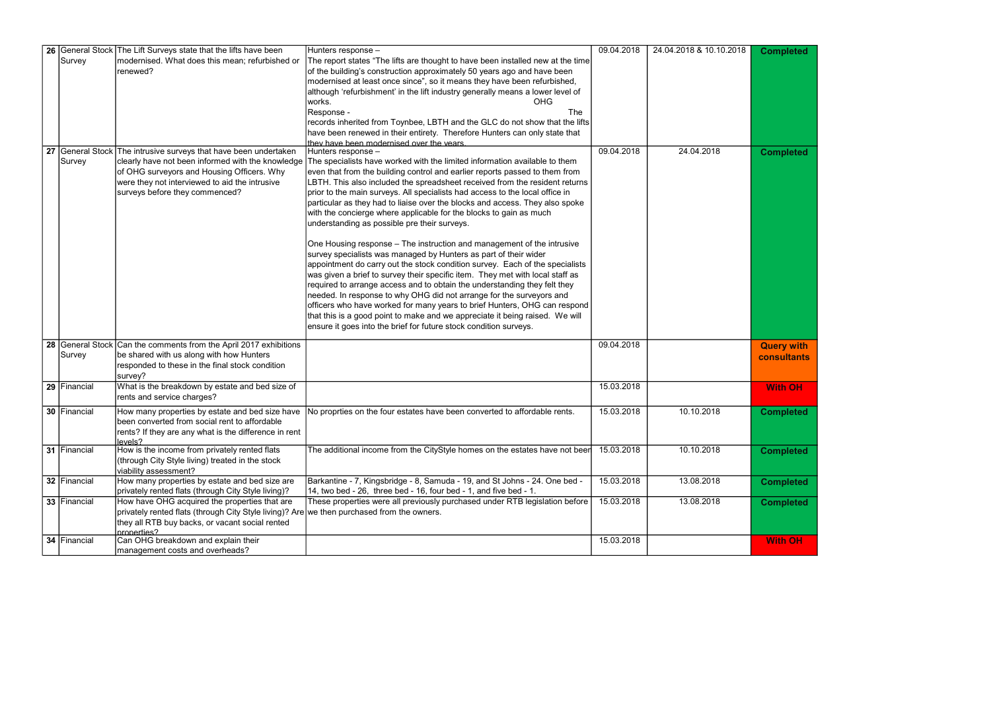| $\overline{0.2018}$ | <b>Completed</b>                 |
|---------------------|----------------------------------|
| ļ                   | <b>Completed</b>                 |
|                     | <b>Query with</b><br>consultants |
|                     | <b>With OH</b>                   |
|                     | Completed                        |
| ļ                   | Completed                        |
| ļ                   | <b>Completed</b>                 |
| ļ                   | <b>Completed</b>                 |
|                     | <b>With OH</b>                   |

|              | 26 General Stock The Lift Surveys state that the lifts have been                           | Hunters response -                                                                                                        | 09.04.2018 | 24.04.2018 & 10.10.2018 | <b>Completed</b>  |
|--------------|--------------------------------------------------------------------------------------------|---------------------------------------------------------------------------------------------------------------------------|------------|-------------------------|-------------------|
| Survey       | modernised. What does this mean; refurbished or                                            | The report states "The lifts are thought to have been installed new at the time                                           |            |                         |                   |
|              | renewed?                                                                                   | of the building's construction approximately 50 years ago and have been                                                   |            |                         |                   |
|              |                                                                                            | modernised at least once since", so it means they have been refurbished,                                                  |            |                         |                   |
|              |                                                                                            | although 'refurbishment' in the lift industry generally means a lower level of                                            |            |                         |                   |
|              |                                                                                            | <b>OHG</b><br>works.                                                                                                      |            |                         |                   |
|              |                                                                                            | The<br>Response -                                                                                                         |            |                         |                   |
|              |                                                                                            | records inherited from Toynbee, LBTH and the GLC do not show that the lifts                                               |            |                         |                   |
|              |                                                                                            | have been renewed in their entirety. Therefore Hunters can only state that                                                |            |                         |                   |
|              |                                                                                            | they have been modernised over the years.                                                                                 |            |                         |                   |
|              | 27 General Stock The intrusive surveys that have been undertaken                           | Hunters response -                                                                                                        | 09.04.2018 | 24.04.2018              | <b>Completed</b>  |
| Survey       | clearly have not been informed with the knowledge                                          | The specialists have worked with the limited information available to them                                                |            |                         |                   |
|              | of OHG surveyors and Housing Officers. Why                                                 | even that from the building control and earlier reports passed to them from                                               |            |                         |                   |
|              | were they not interviewed to aid the intrusive                                             | LBTH. This also included the spreadsheet received from the resident returns                                               |            |                         |                   |
|              | surveys before they commenced?                                                             | prior to the main surveys. All specialists had access to the local office in                                              |            |                         |                   |
|              |                                                                                            | particular as they had to liaise over the blocks and access. They also spoke                                              |            |                         |                   |
|              |                                                                                            | with the concierge where applicable for the blocks to gain as much                                                        |            |                         |                   |
|              |                                                                                            | understanding as possible pre their surveys.                                                                              |            |                         |                   |
|              |                                                                                            | One Housing response - The instruction and management of the intrusive                                                    |            |                         |                   |
|              |                                                                                            | survey specialists was managed by Hunters as part of their wider                                                          |            |                         |                   |
|              |                                                                                            | appointment do carry out the stock condition survey. Each of the specialists                                              |            |                         |                   |
|              |                                                                                            | was given a brief to survey their specific item. They met with local staff as                                             |            |                         |                   |
|              |                                                                                            | required to arrange access and to obtain the understanding they felt they                                                 |            |                         |                   |
|              |                                                                                            | needed. In response to why OHG did not arrange for the surveyors and                                                      |            |                         |                   |
|              |                                                                                            | officers who have worked for many years to brief Hunters, OHG can respond                                                 |            |                         |                   |
|              |                                                                                            | that this is a good point to make and we appreciate it being raised. We will                                              |            |                         |                   |
|              |                                                                                            | ensure it goes into the brief for future stock condition surveys.                                                         |            |                         |                   |
|              | 28 General Stock Can the comments from the April 2017 exhibitions                          |                                                                                                                           | 09.04.2018 |                         | <b>Query with</b> |
| Survey       | be shared with us along with how Hunters                                                   |                                                                                                                           |            |                         |                   |
|              | responded to these in the final stock condition                                            |                                                                                                                           |            |                         | consultants       |
|              | survey?                                                                                    |                                                                                                                           |            |                         |                   |
| 29 Financial | What is the breakdown by estate and bed size of                                            |                                                                                                                           | 15.03.2018 |                         | <b>With OH</b>    |
|              | rents and service charges?                                                                 |                                                                                                                           |            |                         |                   |
| 30 Financial |                                                                                            | How many properties by estate and bed size have No proprties on the four estates have been converted to affordable rents. | 15.03.2018 | 10.10.2018              | <b>Completed</b>  |
|              | been converted from social rent to affordable                                              |                                                                                                                           |            |                         |                   |
|              | rents? If they are any what is the difference in rent                                      |                                                                                                                           |            |                         |                   |
|              | levels?                                                                                    |                                                                                                                           |            |                         |                   |
| 31 Financial | How is the income from privately rented flats                                              | The additional income from the CityStyle homes on the estates have not been                                               | 15.03.2018 | 10.10.2018              | <b>Completed</b>  |
|              | (through City Style living) treated in the stock                                           |                                                                                                                           |            |                         |                   |
|              | viability assessment?                                                                      |                                                                                                                           |            |                         |                   |
| 32 Financial | How many properties by estate and bed size are                                             | Barkantine - 7, Kingsbridge - 8, Samuda - 19, and St Johns - 24. One bed -                                                | 15.03.2018 | 13.08.2018              | <b>Completed</b>  |
|              | privately rented flats (through City Style living)?                                        | $14$ , two bed - 26, three bed - 16, four bed - 1, and five bed - 1                                                       |            |                         |                   |
| 33 Financial | How have OHG acquired the properties that are                                              | These properties were all previously purchased under RTB legislation before                                               | 15.03.2018 | 13.08.2018              | <b>Completed</b>  |
|              | privately rented flats (through City Style living)? Are we then purchased from the owners. |                                                                                                                           |            |                         |                   |
|              | they all RTB buy backs, or vacant social rented                                            |                                                                                                                           |            |                         |                   |
| 34 Financial | Inronerties?<br>Can OHG breakdown and explain their                                        |                                                                                                                           | 15.03.2018 |                         |                   |
|              |                                                                                            |                                                                                                                           |            |                         | <b>With OH</b>    |
|              | management costs and overheads?                                                            |                                                                                                                           |            |                         |                   |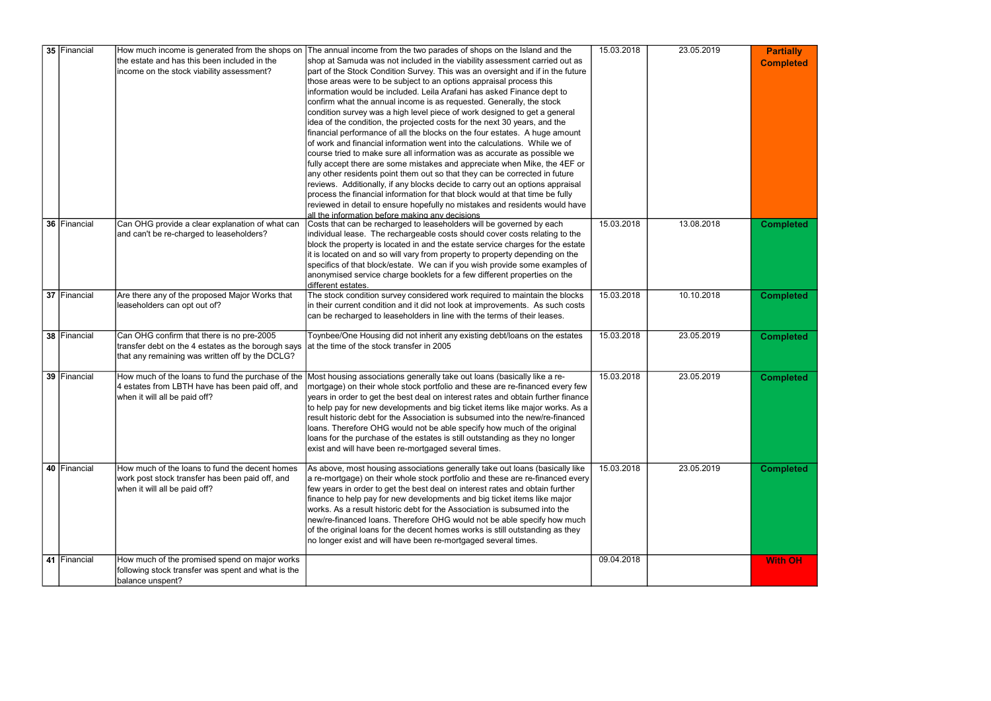| <b>Partially</b><br><b>Completed</b> |
|--------------------------------------|
| <b>Completed</b>                     |
| <b>Completed</b>                     |
| <b>Completed</b>                     |
| <b>Completed</b>                     |
| <b>Completed</b>                     |
| <b>Nith OH</b>                       |

| 35 Financial | How much income is generated from the shops on                                               | The annual income from the two parades of shops on the Island and the                                                                                  | 15.03.2018 | 23.05.2019 | <b>Partially</b> |
|--------------|----------------------------------------------------------------------------------------------|--------------------------------------------------------------------------------------------------------------------------------------------------------|------------|------------|------------------|
|              | the estate and has this been included in the                                                 | shop at Samuda was not included in the viability assessment carried out as                                                                             |            |            |                  |
|              | income on the stock viability assessment?                                                    | part of the Stock Condition Survey. This was an oversight and if in the future                                                                         |            |            | <b>Completed</b> |
|              |                                                                                              | those areas were to be subject to an options appraisal process this                                                                                    |            |            |                  |
|              |                                                                                              | information would be included. Leila Arafani has asked Finance dept to                                                                                 |            |            |                  |
|              |                                                                                              | confirm what the annual income is as requested. Generally, the stock                                                                                   |            |            |                  |
|              |                                                                                              | condition survey was a high level piece of work designed to get a general                                                                              |            |            |                  |
|              |                                                                                              | idea of the condition, the projected costs for the next 30 years, and the                                                                              |            |            |                  |
|              |                                                                                              | financial performance of all the blocks on the four estates. A huge amount                                                                             |            |            |                  |
|              |                                                                                              | of work and financial information went into the calculations. While we of                                                                              |            |            |                  |
|              |                                                                                              | course tried to make sure all information was as accurate as possible we                                                                               |            |            |                  |
|              |                                                                                              | fully accept there are some mistakes and appreciate when Mike, the 4EF or                                                                              |            |            |                  |
|              |                                                                                              | any other residents point them out so that they can be corrected in future                                                                             |            |            |                  |
|              |                                                                                              | reviews. Additionally, if any blocks decide to carry out an options appraisal                                                                          |            |            |                  |
|              |                                                                                              | process the financial information for that block would at that time be fully                                                                           |            |            |                  |
|              |                                                                                              | reviewed in detail to ensure hopefully no mistakes and residents would have                                                                            |            |            |                  |
|              |                                                                                              | all the information before making any decisions                                                                                                        |            |            |                  |
| 36 Financial | Can OHG provide a clear explanation of what can                                              | Costs that can be recharged to leaseholders will be governed by each                                                                                   | 15.03.2018 | 13.08.2018 | <b>Completed</b> |
|              | and can't be re-charged to leaseholders?                                                     | individual lease. The rechargeable costs should cover costs relating to the                                                                            |            |            |                  |
|              |                                                                                              | block the property is located in and the estate service charges for the estate                                                                         |            |            |                  |
|              |                                                                                              | it is located on and so will vary from property to property depending on the                                                                           |            |            |                  |
|              |                                                                                              | specifics of that block/estate. We can if you wish provide some examples of                                                                            |            |            |                  |
|              |                                                                                              | anonymised service charge booklets for a few different properties on the                                                                               |            |            |                  |
|              |                                                                                              | different estates.                                                                                                                                     |            |            |                  |
| 37 Financial | Are there any of the proposed Major Works that                                               | The stock condition survey considered work required to maintain the blocks                                                                             | 15.03.2018 | 10.10.2018 | <b>Completed</b> |
|              | leaseholders can opt out of?                                                                 | in their current condition and it did not look at improvements. As such costs                                                                          |            |            |                  |
|              |                                                                                              | can be recharged to leaseholders in line with the terms of their leases.                                                                               |            |            |                  |
|              |                                                                                              |                                                                                                                                                        |            |            |                  |
| 38 Financial | Can OHG confirm that there is no pre-2005                                                    | Toynbee/One Housing did not inherit any existing debt/loans on the estates                                                                             | 15.03.2018 | 23.05.2019 | <b>Completed</b> |
|              | transfer debt on the 4 estates as the borough says at the time of the stock transfer in 2005 |                                                                                                                                                        |            |            |                  |
|              | that any remaining was written off by the DCLG?                                              |                                                                                                                                                        |            |            |                  |
|              |                                                                                              |                                                                                                                                                        |            |            |                  |
| 39 Financial |                                                                                              | How much of the loans to fund the purchase of the Most housing associations generally take out loans (basically like a re-                             | 15.03.2018 | 23.05.2019 | <b>Completed</b> |
|              | 4 estates from LBTH have has been paid off, and                                              | mortgage) on their whole stock portfolio and these are re-financed every few                                                                           |            |            |                  |
|              | when it will all be paid off?                                                                | years in order to get the best deal on interest rates and obtain further finance                                                                       |            |            |                  |
|              |                                                                                              | to help pay for new developments and big ticket items like major works. As a                                                                           |            |            |                  |
|              |                                                                                              | result historic debt for the Association is subsumed into the new/re-financed                                                                          |            |            |                  |
|              |                                                                                              | loans. Therefore OHG would not be able specify how much of the original                                                                                |            |            |                  |
|              |                                                                                              | loans for the purchase of the estates is still outstanding as they no longer                                                                           |            |            |                  |
|              |                                                                                              | exist and will have been re-mortgaged several times.                                                                                                   |            |            |                  |
|              | How much of the loans to fund the decent homes                                               |                                                                                                                                                        |            |            |                  |
| 40 Financial |                                                                                              | As above, most housing associations generally take out loans (basically like                                                                           | 15.03.2018 | 23.05.2019 | <b>Completed</b> |
|              | work post stock transfer has been paid off, and                                              | a re-mortgage) on their whole stock portfolio and these are re-financed every                                                                          |            |            |                  |
|              | when it will all be paid off?                                                                | few years in order to get the best deal on interest rates and obtain further                                                                           |            |            |                  |
|              |                                                                                              | finance to help pay for new developments and big ticket items like major<br>Iworks. As a result historic debt for the Association is subsumed into the |            |            |                  |
|              |                                                                                              |                                                                                                                                                        |            |            |                  |
|              |                                                                                              | new/re-financed loans. Therefore OHG would not be able specify how much                                                                                |            |            |                  |
|              |                                                                                              | of the original loans for the decent homes works is still outstanding as they                                                                          |            |            |                  |
|              |                                                                                              | no longer exist and will have been re-mortgaged several times.                                                                                         |            |            |                  |
| 41 Financial | How much of the promised spend on major works                                                |                                                                                                                                                        | 09.04.2018 |            | <b>With OH</b>   |
|              | following stock transfer was spent and what is the                                           |                                                                                                                                                        |            |            |                  |
|              | balance unspent?                                                                             |                                                                                                                                                        |            |            |                  |
|              |                                                                                              |                                                                                                                                                        |            |            |                  |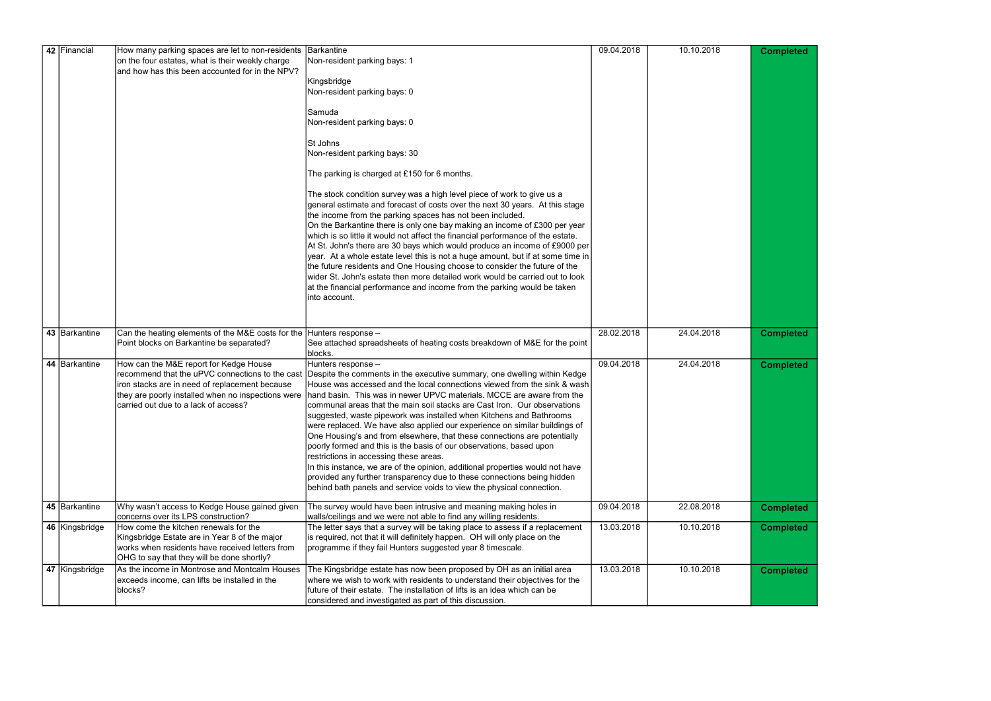|  | 42 Financial    | How many parking spaces are let to non-residents Barkantine                  |                                                                                                                                                             | 09.04.2018 | 10.10.2018 | <b>Completed</b> |
|--|-----------------|------------------------------------------------------------------------------|-------------------------------------------------------------------------------------------------------------------------------------------------------------|------------|------------|------------------|
|  |                 | on the four estates, what is their weekly charge                             | Non-resident parking bays: 1                                                                                                                                |            |            |                  |
|  |                 | and how has this been accounted for in the NPV?                              |                                                                                                                                                             |            |            |                  |
|  |                 |                                                                              | Kingsbridge                                                                                                                                                 |            |            |                  |
|  |                 |                                                                              | Non-resident parking bays: 0                                                                                                                                |            |            |                  |
|  |                 |                                                                              |                                                                                                                                                             |            |            |                  |
|  |                 |                                                                              | Samuda                                                                                                                                                      |            |            |                  |
|  |                 |                                                                              | Non-resident parking bays: 0                                                                                                                                |            |            |                  |
|  |                 |                                                                              | St Johns                                                                                                                                                    |            |            |                  |
|  |                 |                                                                              | Non-resident parking bays: 30                                                                                                                               |            |            |                  |
|  |                 |                                                                              |                                                                                                                                                             |            |            |                  |
|  |                 |                                                                              | The parking is charged at £150 for 6 months.                                                                                                                |            |            |                  |
|  |                 |                                                                              | The stock condition survey was a high level piece of work to give us a                                                                                      |            |            |                  |
|  |                 |                                                                              | general estimate and forecast of costs over the next 30 years. At this stage                                                                                |            |            |                  |
|  |                 |                                                                              | the income from the parking spaces has not been included.                                                                                                   |            |            |                  |
|  |                 |                                                                              | On the Barkantine there is only one bay making an income of £300 per year                                                                                   |            |            |                  |
|  |                 |                                                                              | which is so little it would not affect the financial performance of the estate.                                                                             |            |            |                  |
|  |                 |                                                                              | At St. John's there are 30 bays which would produce an income of £9000 per                                                                                  |            |            |                  |
|  |                 |                                                                              | year. At a whole estate level this is not a huge amount, but if at some time in                                                                             |            |            |                  |
|  |                 |                                                                              | the future residents and One Housing choose to consider the future of the                                                                                   |            |            |                  |
|  |                 |                                                                              | wider St. John's estate then more detailed work would be carried out to look                                                                                |            |            |                  |
|  |                 |                                                                              | at the financial performance and income from the parking would be taken                                                                                     |            |            |                  |
|  |                 |                                                                              | into account.                                                                                                                                               |            |            |                  |
|  |                 |                                                                              |                                                                                                                                                             |            |            |                  |
|  |                 |                                                                              |                                                                                                                                                             |            |            |                  |
|  | 43 Barkantine   | Can the heating elements of the M&E costs for the $ $ Hunters response $-$   |                                                                                                                                                             | 28.02.2018 | 24.04.2018 | <b>Completed</b> |
|  |                 |                                                                              |                                                                                                                                                             |            |            |                  |
|  |                 | Point blocks on Barkantine be separated?                                     | See attached spreadsheets of heating costs breakdown of M&E for the point                                                                                   |            |            |                  |
|  |                 |                                                                              | blocks.                                                                                                                                                     |            |            |                  |
|  | 44   Barkantine | How can the M&E report for Kedge House                                       | Hunters response -                                                                                                                                          | 09.04.2018 | 24.04.2018 | <b>Completed</b> |
|  |                 |                                                                              | recommend that the uPVC connections to the cast Despite the comments in the executive summary, one dwelling within Kedge                                    |            |            |                  |
|  |                 | iron stacks are in need of replacement because                               | House was accessed and the local connections viewed from the sink & wash                                                                                    |            |            |                  |
|  |                 | they are poorly installed when no inspections were                           | hand basin. This was in newer UPVC materials. MCCE are aware from the                                                                                       |            |            |                  |
|  |                 | carried out due to a lack of access?                                         | communal areas that the main soil stacks are Cast Iron. Our observations                                                                                    |            |            |                  |
|  |                 |                                                                              | suggested, waste pipework was installed when Kitchens and Bathrooms                                                                                         |            |            |                  |
|  |                 |                                                                              | were replaced. We have also applied our experience on similar buildings of                                                                                  |            |            |                  |
|  |                 |                                                                              | One Housing's and from elsewhere, that these connections are potentially<br>poorly formed and this is the basis of our observations, based upon             |            |            |                  |
|  |                 |                                                                              | restrictions in accessing these areas.                                                                                                                      |            |            |                  |
|  |                 |                                                                              | In this instance, we are of the opinion, additional properties would not have                                                                               |            |            |                  |
|  |                 |                                                                              | provided any further transparency due to these connections being hidden                                                                                     |            |            |                  |
|  |                 |                                                                              | behind bath panels and service voids to view the physical connection.                                                                                       |            |            |                  |
|  |                 |                                                                              |                                                                                                                                                             |            |            |                  |
|  | 45 Barkantine   | Why wasn't access to Kedge House gained given                                | The survey would have been intrusive and meaning making holes in                                                                                            | 09.04.2018 | 22.08.2018 |                  |
|  |                 | concerns over its LPS construction?<br>How come the kitchen renewals for the | walls/ceilings and we were not able to find any willing residents.                                                                                          |            | 10.10.2018 | <b>Completed</b> |
|  | 46 Kingsbridge  | Kingsbridge Estate are in Year 8 of the major                                | The letter says that a survey will be taking place to assess if a replacement<br>is required, not that it will definitely happen. OH will only place on the | 13.03.2018 |            | <b>Completed</b> |
|  |                 | works when residents have received letters from                              | programme if they fail Hunters suggested year 8 timescale.                                                                                                  |            |            |                  |
|  |                 | OHG to say that they will be done shortly?                                   |                                                                                                                                                             |            |            |                  |
|  | 47 Kingsbridge  | As the income in Montrose and Montcalm Houses                                | The Kingsbridge estate has now been proposed by OH as an initial area                                                                                       | 13.03.2018 | 10.10.2018 |                  |
|  |                 | exceeds income, can lifts be installed in the                                | where we wish to work with residents to understand their objectives for the                                                                                 |            |            | <b>Completed</b> |
|  |                 | blocks?                                                                      | future of their estate. The installation of lifts is an idea which can be                                                                                   |            |            |                  |

| <b>Completed</b><br><b>Completed</b> |
|--------------------------------------|
|                                      |
| Completed                            |
|                                      |
| <b>Completed</b>                     |
| <b>Completed</b>                     |
| <b>Completed</b>                     |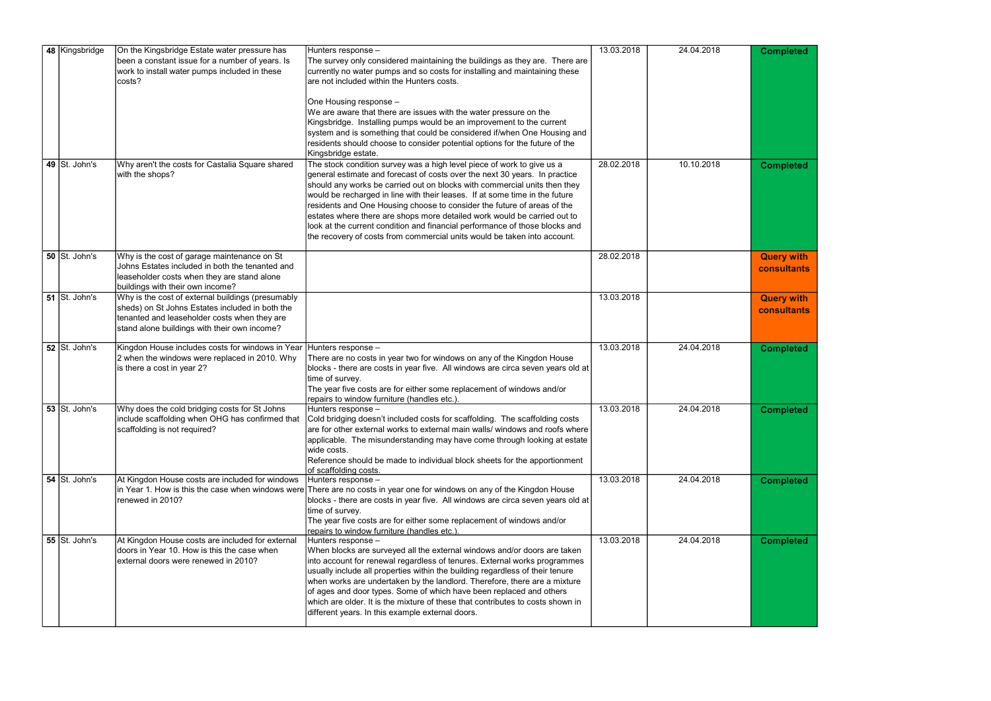| Completed                        |
|----------------------------------|
| <b>Completed</b>                 |
| <b>Query with</b><br>consultants |
| <b>Query with</b><br>consultants |
| <b>Completed</b>                 |
| npleted<br>Cor                   |
| <b>Completed</b>                 |
| <b>Completed</b>                 |

|  | 48 Kingsbridge                               | On the Kingsbridge Estate water pressure has                        | Hunters response -                                                                                                          | 13.03.2018 | 24.04.2018 | <b>Completed</b>   |
|--|----------------------------------------------|---------------------------------------------------------------------|-----------------------------------------------------------------------------------------------------------------------------|------------|------------|--------------------|
|  |                                              | been a constant issue for a number of years. Is                     | The survey only considered maintaining the buildings as they are. There are                                                 |            |            |                    |
|  |                                              | work to install water pumps included in these                       | currently no water pumps and so costs for installing and maintaining these                                                  |            |            |                    |
|  |                                              | costs?                                                              | are not included within the Hunters costs.                                                                                  |            |            |                    |
|  |                                              |                                                                     |                                                                                                                             |            |            |                    |
|  |                                              |                                                                     | One Housing response -<br>We are aware that there are issues with the water pressure on the                                 |            |            |                    |
|  |                                              |                                                                     | Kingsbridge. Installing pumps would be an improvement to the current                                                        |            |            |                    |
|  |                                              |                                                                     | system and is something that could be considered if/when One Housing and                                                    |            |            |                    |
|  |                                              |                                                                     | residents should choose to consider potential options for the future of the                                                 |            |            |                    |
|  |                                              |                                                                     | Kingsbridge estate.                                                                                                         |            |            |                    |
|  | 49 St. John's                                | Why aren't the costs for Castalia Square shared                     | The stock condition survey was a high level piece of work to give us a                                                      | 28.02.2018 | 10.10.2018 |                    |
|  |                                              | with the shops?                                                     | general estimate and forecast of costs over the next 30 years. In practice                                                  |            |            | <b>Completed</b>   |
|  |                                              |                                                                     | should any works be carried out on blocks with commercial units then they                                                   |            |            |                    |
|  |                                              |                                                                     | would be recharged in line with their leases. If at some time in the future                                                 |            |            |                    |
|  |                                              |                                                                     | residents and One Housing choose to consider the future of areas of the                                                     |            |            |                    |
|  |                                              |                                                                     | estates where there are shops more detailed work would be carried out to                                                    |            |            |                    |
|  |                                              |                                                                     | look at the current condition and financial performance of those blocks and                                                 |            |            |                    |
|  |                                              |                                                                     | the recovery of costs from commercial units would be taken into account.                                                    |            |            |                    |
|  |                                              |                                                                     |                                                                                                                             |            |            |                    |
|  | $50$ St. John's                              | Why is the cost of garage maintenance on St                         |                                                                                                                             | 28.02.2018 |            | <b>Query with</b>  |
|  |                                              | Johns Estates included in both the tenanted and                     |                                                                                                                             |            |            | consultants        |
|  |                                              | leaseholder costs when they are stand alone                         |                                                                                                                             |            |            |                    |
|  |                                              | buildings with their own income?                                    |                                                                                                                             |            |            |                    |
|  | 51 St. John's                                | Why is the cost of external buildings (presumably                   |                                                                                                                             | 13.03.2018 |            | <b>Query with</b>  |
|  |                                              | sheds) on St Johns Estates included in both the                     |                                                                                                                             |            |            | <b>consultants</b> |
|  |                                              | tenanted and leaseholder costs when they are                        |                                                                                                                             |            |            |                    |
|  |                                              | stand alone buildings with their own income?                        |                                                                                                                             |            |            |                    |
|  |                                              |                                                                     |                                                                                                                             |            |            |                    |
|  | 52 St. John's                                | Kingdon House includes costs for windows in Year Hunters response - |                                                                                                                             | 13.03.2018 | 24.04.2018 | <b>Completed</b>   |
|  |                                              | 2 when the windows were replaced in 2010. Why                       | There are no costs in year two for windows on any of the Kingdon House                                                      |            |            |                    |
|  |                                              | is there a cost in year 2?                                          | blocks - there are costs in year five. All windows are circa seven years old at                                             |            |            |                    |
|  |                                              |                                                                     | time of survey.                                                                                                             |            |            |                    |
|  |                                              |                                                                     | The year five costs are for either some replacement of windows and/or<br>repairs to window furniture (handles etc.).        |            |            |                    |
|  | 53 St. John's                                | Why does the cold bridging costs for St Johns                       | Hunters response -                                                                                                          | 13.03.2018 | 24.04.2018 | <b>Completed</b>   |
|  |                                              |                                                                     | include scaffolding when OHG has confirmed that Cold bridging doesn't included costs for scaffolding. The scaffolding costs |            |            |                    |
|  |                                              | scaffolding is not required?                                        | are for other external works to external main walls/ windows and roofs where                                                |            |            |                    |
|  |                                              |                                                                     | applicable. The misunderstanding may have come through looking at estate                                                    |            |            |                    |
|  |                                              |                                                                     | wide costs.                                                                                                                 |            |            |                    |
|  |                                              |                                                                     | Reference should be made to individual block sheets for the apportionment                                                   |            |            |                    |
|  |                                              |                                                                     | of scaffolding costs.                                                                                                       |            |            |                    |
|  | 54 $\vert$ St. John's                        | At Kingdon House costs are included for windows                     | $H$ unters response –                                                                                                       | 13.03.2018 | 24.04.2018 | <b>Completed</b>   |
|  |                                              |                                                                     | in Year 1. How is this the case when windows were There are no costs in year one for windows on any of the Kingdon House    |            |            |                    |
|  |                                              | renewed in 2010?                                                    | blocks - there are costs in year five. All windows are circa seven years old at                                             |            |            |                    |
|  |                                              |                                                                     | time of survey.                                                                                                             |            |            |                    |
|  |                                              |                                                                     | The year five costs are for either some replacement of windows and/or                                                       |            |            |                    |
|  |                                              |                                                                     | repairs to window furniture (handles etc.).                                                                                 |            |            |                    |
|  | 55 $\overline{\smash{\mathsf{S}t}}$ . John's | At Kingdon House costs are included for external                    | Hunters response -                                                                                                          | 13.03.2018 | 24.04.2018 | <b>Completed</b>   |
|  |                                              | doors in Year 10. How is this the case when                         | When blocks are surveyed all the external windows and/or doors are taken                                                    |            |            |                    |
|  |                                              | external doors were renewed in 2010?                                | into account for renewal regardless of tenures. External works programmes                                                   |            |            |                    |
|  |                                              |                                                                     | usually include all properties within the building regardless of their tenure                                               |            |            |                    |
|  |                                              |                                                                     | when works are undertaken by the landlord. Therefore, there are a mixture                                                   |            |            |                    |
|  |                                              |                                                                     | of ages and door types. Some of which have been replaced and others                                                         |            |            |                    |
|  |                                              |                                                                     | which are older. It is the mixture of these that contributes to costs shown in                                              |            |            |                    |
|  |                                              |                                                                     | different years. In this example external doors.                                                                            |            |            |                    |
|  |                                              |                                                                     |                                                                                                                             |            |            |                    |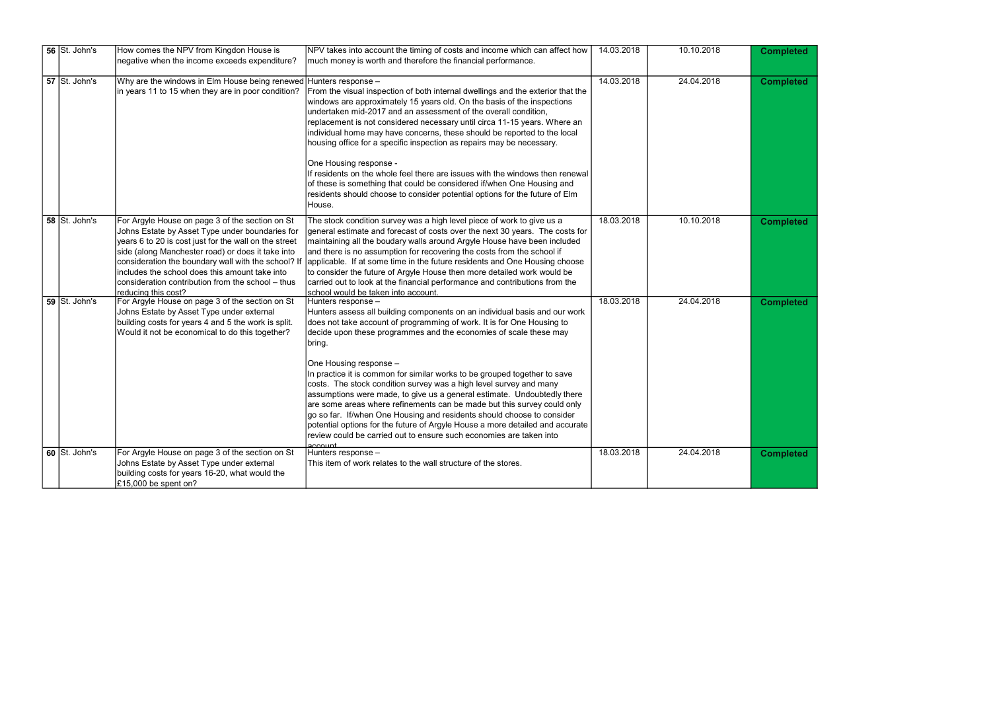| <b>Completed</b> |
|------------------|
| <b>Completed</b> |
| <b>Completed</b> |
| <b>Completed</b> |
| <b>Completed</b> |

| 56 St. John's | How comes the NPV from Kingdon House is                                                                                                                                                                                                                                                                                                                                        | NPV takes into account the timing of costs and income which can affect how                                                                                                                                                                                                                                                                                                                                                                                                                                                                                                                                                                                                                                                                                                                                                                  | 14.03.2018 | 10.10.2018 | <b>Completed</b> |
|---------------|--------------------------------------------------------------------------------------------------------------------------------------------------------------------------------------------------------------------------------------------------------------------------------------------------------------------------------------------------------------------------------|---------------------------------------------------------------------------------------------------------------------------------------------------------------------------------------------------------------------------------------------------------------------------------------------------------------------------------------------------------------------------------------------------------------------------------------------------------------------------------------------------------------------------------------------------------------------------------------------------------------------------------------------------------------------------------------------------------------------------------------------------------------------------------------------------------------------------------------------|------------|------------|------------------|
|               | negative when the income exceeds expenditure?                                                                                                                                                                                                                                                                                                                                  | much money is worth and therefore the financial performance.                                                                                                                                                                                                                                                                                                                                                                                                                                                                                                                                                                                                                                                                                                                                                                                |            |            |                  |
| 57 St. John's | Why are the windows in Elm House being renewed Hunters response -<br>in years 11 to 15 when they are in poor condition?                                                                                                                                                                                                                                                        | From the visual inspection of both internal dwellings and the exterior that the<br>windows are approximately 15 years old. On the basis of the inspections<br>undertaken mid-2017 and an assessment of the overall condition,<br>replacement is not considered necessary until circa 11-15 years. Where an<br>individual home may have concerns, these should be reported to the local<br>housing office for a specific inspection as repairs may be necessary.<br>One Housing response -<br>If residents on the whole feel there are issues with the windows then renewal<br>of these is something that could be considered if/when One Housing and<br>residents should choose to consider potential options for the future of Elm<br>House.                                                                                               | 14.03.2018 | 24.04.2018 | <b>Completed</b> |
| 58 St. John's | For Argyle House on page 3 of the section on St<br>Johns Estate by Asset Type under boundaries for<br>years 6 to 20 is cost just for the wall on the street<br>side (along Manchester road) or does it take into<br>consideration the boundary wall with the school? If<br>includes the school does this amount take into<br>consideration contribution from the school - thus | The stock condition survey was a high level piece of work to give us a<br>general estimate and forecast of costs over the next 30 years. The costs for<br>maintaining all the boudary walls around Argyle House have been included<br>and there is no assumption for recovering the costs from the school if<br>applicable. If at some time in the future residents and One Housing choose<br>to consider the future of Argyle House then more detailed work would be<br>carried out to look at the financial performance and contributions from the<br>school would be taken into account                                                                                                                                                                                                                                                  | 18.03.2018 | 10.10.2018 | <b>Completed</b> |
| 59 St. John's | reducing this cost?<br>For Argyle House on page 3 of the section on St<br>Johns Estate by Asset Type under external<br>building costs for years 4 and 5 the work is split.<br>Would it not be economical to do this together?                                                                                                                                                  | Hunters response -<br>Hunters assess all building components on an individual basis and our work<br>does not take account of programming of work. It is for One Housing to<br>decide upon these programmes and the economies of scale these may<br>bring.<br>One Housing response -<br>In practice it is common for similar works to be grouped together to save<br>costs. The stock condition survey was a high level survey and many<br>assumptions were made, to give us a general estimate. Undoubtedly there<br>are some areas where refinements can be made but this survey could only<br> go so far.  If/when One Housing and residents should choose to consider<br>potential options for the future of Argyle House a more detailed and accurate<br>review could be carried out to ensure such economies are taken into<br>account | 18.03.2018 | 24.04.2018 | <b>Completed</b> |
| 60 St. John's | For Argyle House on page 3 of the section on St<br>Johns Estate by Asset Type under external<br>building costs for years 16-20, what would the<br>£15,000 be spent on?                                                                                                                                                                                                         | Hunters response -<br>This item of work relates to the wall structure of the stores.                                                                                                                                                                                                                                                                                                                                                                                                                                                                                                                                                                                                                                                                                                                                                        | 18.03.2018 | 24.04.2018 | <b>Completed</b> |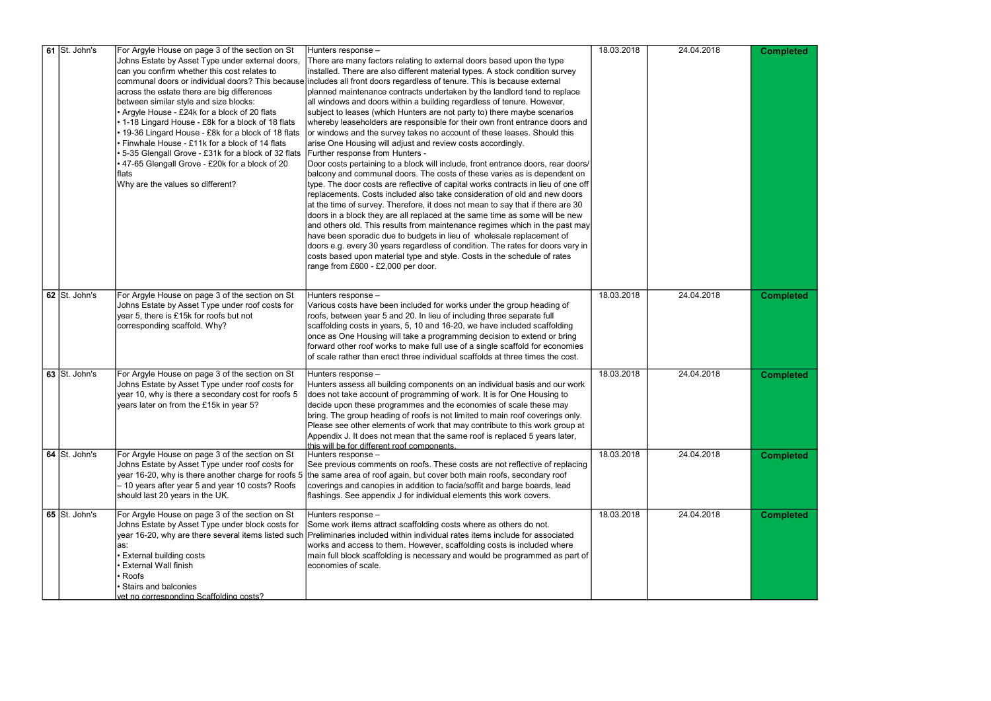| $\overline{61}$ St. John's                   | For Argyle House on page 3 of the section on St<br>Johns Estate by Asset Type under external doors,<br>can you confirm whether this cost relates to<br>across the estate there are big differences<br>between similar style and size blocks:<br>• Argyle House - £24k for a block of 20 flats<br>• 1-18 Lingard House - £8k for a block of 18 flats<br>19-36 Lingard House - £8k for a block of 18 flats<br>Finwhale House - £11k for a block of 14 flats<br>, 5-35 Glengall Grove - £31k for a block of 32 flats │Further response from Hunters -<br>• 47-65 Glengall Grove - £20k for a block of 20<br>flats<br>Why are the values so different? | Hunters response -<br>There are many factors relating to external doors based upon the type<br>installed. There are also different material types. A stock condition survey<br>communal doors or individual doors? This because includes all front doors regardless of tenure. This is because external<br>planned maintenance contracts undertaken by the landlord tend to replace<br>all windows and doors within a building regardless of tenure. However,<br>subject to leases (which Hunters are not party to) there maybe scenarios<br>whereby leaseholders are responsible for their own front entrance doors and<br>or windows and the survey takes no account of these leases. Should this<br>arise One Housing will adjust and review costs accordingly.<br>Door costs pertaining to a block will include, front entrance doors, rear doors/<br>balcony and communal doors. The costs of these varies as is dependent on<br>type. The door costs are reflective of capital works contracts in lieu of one off<br>replacements. Costs included also take consideration of old and new doors<br>at the time of survey. Therefore, it does not mean to say that if there are 30<br>doors in a block they are all replaced at the same time as some will be new<br>and others old. This results from maintenance regimes which in the past may<br>have been sporadic due to budgets in lieu of wholesale replacement of<br>doors e.g. every 30 years regardless of condition. The rates for doors vary in<br>costs based upon material type and style. Costs in the schedule of rates<br>range from £600 - £2,000 per door. | 18.03.2018 | 24.04.2018 | <b>Completed</b> |
|----------------------------------------------|----------------------------------------------------------------------------------------------------------------------------------------------------------------------------------------------------------------------------------------------------------------------------------------------------------------------------------------------------------------------------------------------------------------------------------------------------------------------------------------------------------------------------------------------------------------------------------------------------------------------------------------------------|-----------------------------------------------------------------------------------------------------------------------------------------------------------------------------------------------------------------------------------------------------------------------------------------------------------------------------------------------------------------------------------------------------------------------------------------------------------------------------------------------------------------------------------------------------------------------------------------------------------------------------------------------------------------------------------------------------------------------------------------------------------------------------------------------------------------------------------------------------------------------------------------------------------------------------------------------------------------------------------------------------------------------------------------------------------------------------------------------------------------------------------------------------------------------------------------------------------------------------------------------------------------------------------------------------------------------------------------------------------------------------------------------------------------------------------------------------------------------------------------------------------------------------------------------------------------------------------------------------------------------------------|------------|------------|------------------|
| 62 St. John's                                | For Argyle House on page 3 of the section on St<br>Johns Estate by Asset Type under roof costs for<br>year 5, there is £15k for roofs but not<br>corresponding scaffold. Why?                                                                                                                                                                                                                                                                                                                                                                                                                                                                      | Hunters response -<br>Various costs have been included for works under the group heading of<br>roofs, between year 5 and 20. In lieu of including three separate full<br>scaffolding costs in years, 5, 10 and 16-20, we have included scaffolding<br>once as One Housing will take a programming decision to extend or bring<br>forward other roof works to make full use of a single scaffold for economies<br>of scale rather than erect three individual scaffolds at three times the cost.                                                                                                                                                                                                                                                                                                                                                                                                                                                                                                                                                                                                                                                                                                                                                                                                                                                                                                                                                                                                                                                                                                                                   | 18.03.2018 | 24.04.2018 | <b>Completed</b> |
| 63 St. John's                                | For Argyle House on page 3 of the section on St<br>Johns Estate by Asset Type under roof costs for<br>year 10, why is there a secondary cost for roofs 5<br>years later on from the £15k in year 5?                                                                                                                                                                                                                                                                                                                                                                                                                                                | Hunters response -<br>Hunters assess all building components on an individual basis and our work<br>does not take account of programming of work. It is for One Housing to<br>decide upon these programmes and the economies of scale these may<br>bring. The group heading of roofs is not limited to main roof coverings only.<br>Please see other elements of work that may contribute to this work group at<br>Appendix J. It does not mean that the same roof is replaced 5 years later,<br>this will be for different roof components.                                                                                                                                                                                                                                                                                                                                                                                                                                                                                                                                                                                                                                                                                                                                                                                                                                                                                                                                                                                                                                                                                      | 18.03.2018 | 24.04.2018 | <b>Completed</b> |
| 64 St. John's                                | For Argyle House on page 3 of the section on St<br>Johns Estate by Asset Type under roof costs for<br>- 10 years after year 5 and year 10 costs? Roofs<br>should last 20 years in the UK.                                                                                                                                                                                                                                                                                                                                                                                                                                                          | Hunters response -<br>See previous comments on roofs. These costs are not reflective of replacing<br>year 16-20, why is there another charge for roofs 5 the same area of roof again, but cover both main roofs, secondary roof<br>coverings and canopies in addition to facia/soffit and barge boards, lead<br>flashings. See appendix J for individual elements this work covers.                                                                                                                                                                                                                                                                                                                                                                                                                                                                                                                                                                                                                                                                                                                                                                                                                                                                                                                                                                                                                                                                                                                                                                                                                                               | 18.03.2018 | 24.04.2018 | <b>Completed</b> |
| 65 $\overline{\smash{\mathsf{S}t}}$ . John's | For Argyle House on page 3 of the section on St<br>Johns Estate by Asset Type under block costs for<br>las:<br><b>External building costs</b><br><b>External Wall finish</b><br>Roofs<br><b>Stairs and balconies</b><br>vet no corresponding Scaffolding costs?                                                                                                                                                                                                                                                                                                                                                                                    | Hunters response -<br>Some work items attract scaffolding costs where as others do not.<br>year 16-20, why are there several items listed such Dreliminaries included within individual rates items include for associated<br>works and access to them. However, scaffolding costs is included where<br>main full block scaffolding is necessary and would be programmed as part of<br>economies of scale.                                                                                                                                                                                                                                                                                                                                                                                                                                                                                                                                                                                                                                                                                                                                                                                                                                                                                                                                                                                                                                                                                                                                                                                                                        | 18.03.2018 | 24.04.2018 | <b>Completed</b> |

| <b>Completed</b> |
|------------------|
|                  |
|                  |
|                  |
|                  |
|                  |
|                  |
|                  |
|                  |
|                  |
|                  |
|                  |
|                  |
|                  |
|                  |
|                  |
| <b>Completed</b> |
|                  |
|                  |
|                  |
|                  |
| <b>Completed</b> |
|                  |
|                  |
|                  |
|                  |
| <b>Completed</b> |
|                  |
|                  |
|                  |
| <b>Completed</b> |
|                  |
|                  |
|                  |
|                  |
|                  |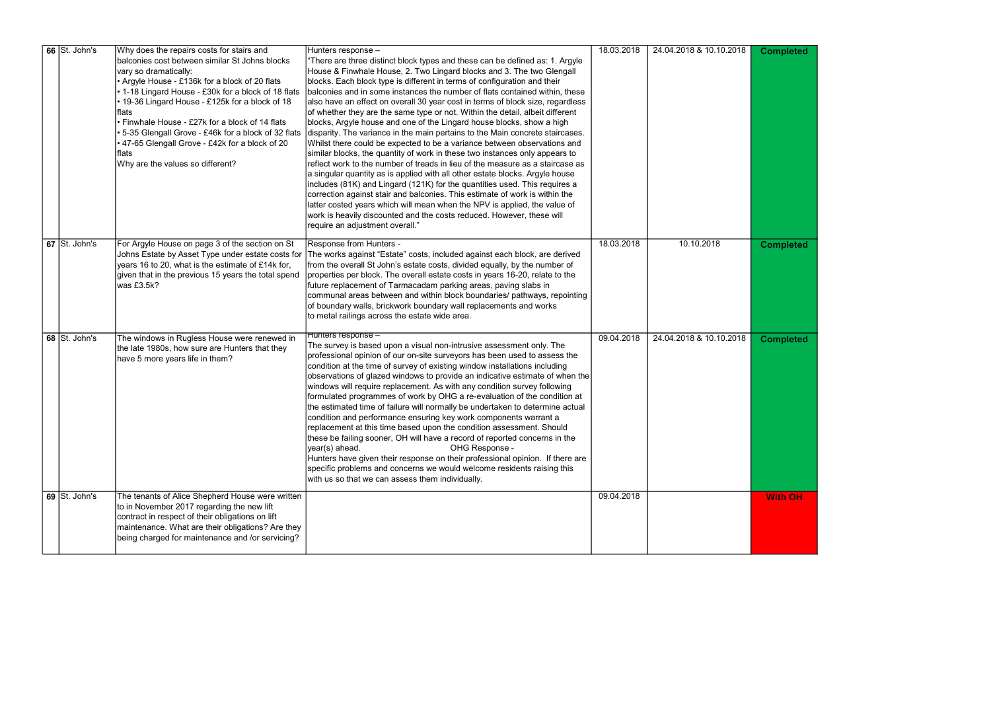| 66 St. John's                                | Why does the repairs costs for stairs and<br>balconies cost between similar St Johns blocks<br>vary so dramatically:<br>• Argyle House - £136k for a block of 20 flats<br>• 1-18 Lingard House - £30k for a block of 18 flats<br>• 19-36 Lingard House - £125k for a block of 18<br>Iflats<br>Finwhale House - £27k for a block of 14 flats<br>5-35 Glengall Grove - £46k for a block of 32 flats<br>• 47-65 Glengall Grove - £42k for a block of 20<br> flats<br>Why are the values so different? | Hunters response -<br>There are three distinct block types and these can be defined as: 1. Argyle<br>House & Finwhale House, 2. Two Lingard blocks and 3. The two Glengall<br>blocks. Each block type is different in terms of configuration and their<br>balconies and in some instances the number of flats contained within, these<br>also have an effect on overall 30 year cost in terms of block size, regardless<br>of whether they are the same type or not. Within the detail, albeit different<br>blocks, Argyle house and one of the Lingard house blocks, show a high<br>disparity. The variance in the main pertains to the Main concrete staircases.<br>Whilst there could be expected to be a variance between observations and<br>similar blocks, the quantity of work in these two instances only appears to<br>reflect work to the number of treads in lieu of the measure as a staircase as<br>a singular quantity as is applied with all other estate blocks. Argyle house<br>includes (81K) and Lingard (121K) for the quantities used. This requires a<br>correction against stair and balconies. This estimate of work is within the<br>latter costed years which will mean when the NPV is applied, the value of<br>work is heavily discounted and the costs reduced. However, these will<br>require an adjustment overall." | 18.03.2018 | 24.04.2018 & 10.10.2018 | <b>Completed</b> |
|----------------------------------------------|----------------------------------------------------------------------------------------------------------------------------------------------------------------------------------------------------------------------------------------------------------------------------------------------------------------------------------------------------------------------------------------------------------------------------------------------------------------------------------------------------|------------------------------------------------------------------------------------------------------------------------------------------------------------------------------------------------------------------------------------------------------------------------------------------------------------------------------------------------------------------------------------------------------------------------------------------------------------------------------------------------------------------------------------------------------------------------------------------------------------------------------------------------------------------------------------------------------------------------------------------------------------------------------------------------------------------------------------------------------------------------------------------------------------------------------------------------------------------------------------------------------------------------------------------------------------------------------------------------------------------------------------------------------------------------------------------------------------------------------------------------------------------------------------------------------------------------------------------------------|------------|-------------------------|------------------|
| 67 St. John's                                | For Argyle House on page 3 of the section on St<br>Johns Estate by Asset Type under estate costs for<br>years 16 to 20, what is the estimate of £14k for,<br>given that in the previous 15 years the total spend<br>was £3.5k?                                                                                                                                                                                                                                                                     | Response from Hunters -<br>The works against "Estate" costs, included against each block, are derived<br>from the overall St John's estate costs, divided equally, by the number of<br>properties per block. The overall estate costs in years 16-20, relate to the<br>future replacement of Tarmacadam parking areas, paving slabs in<br>communal areas between and within block boundaries/ pathways, repointing<br>of boundary walls, brickwork boundary wall replacements and works<br>to metal railings across the estate wide area.                                                                                                                                                                                                                                                                                                                                                                                                                                                                                                                                                                                                                                                                                                                                                                                                            | 18.03.2018 | 10.10.2018              | <b>Completed</b> |
| 68 $\overline{\smash{\mathsf{S}t}}$ . John's | The windows in Rugless House were renewed in<br>the late 1980s, how sure are Hunters that they<br>have 5 more years life in them?                                                                                                                                                                                                                                                                                                                                                                  | Hunters response –<br>The survey is based upon a visual non-intrusive assessment only. The<br>professional opinion of our on-site surveyors has been used to assess the<br>condition at the time of survey of existing window installations including<br>observations of glazed windows to provide an indicative estimate of when the<br>windows will require replacement. As with any condition survey following<br>formulated programmes of work by OHG a re-evaluation of the condition at<br>the estimated time of failure will normally be undertaken to determine actual<br>condition and performance ensuring key work components warrant a<br>replacement at this time based upon the condition assessment. Should<br>these be failing sooner, OH will have a record of reported concerns in the<br>OHG Response -<br>year(s) ahead.<br>Hunters have given their response on their professional opinion. If there are<br>specific problems and concerns we would welcome residents raising this<br>with us so that we can assess them individually.                                                                                                                                                                                                                                                                                          | 09.04.2018 | 24.04.2018 & 10.10.2018 | <b>Completed</b> |
| 69 St. John's                                | The tenants of Alice Shepherd House were written<br>to in November 2017 regarding the new lift<br>contract in respect of their obligations on lift<br>maintenance. What are their obligations? Are they<br>being charged for maintenance and /or servicing?                                                                                                                                                                                                                                        |                                                                                                                                                                                                                                                                                                                                                                                                                                                                                                                                                                                                                                                                                                                                                                                                                                                                                                                                                                                                                                                                                                                                                                                                                                                                                                                                                      | 09.04.2018 |                         | <b>With OH</b>   |

| <b>Completed</b> |
|------------------|
| <b>Completed</b> |
| Completed        |
| <b>Nith OH</b>   |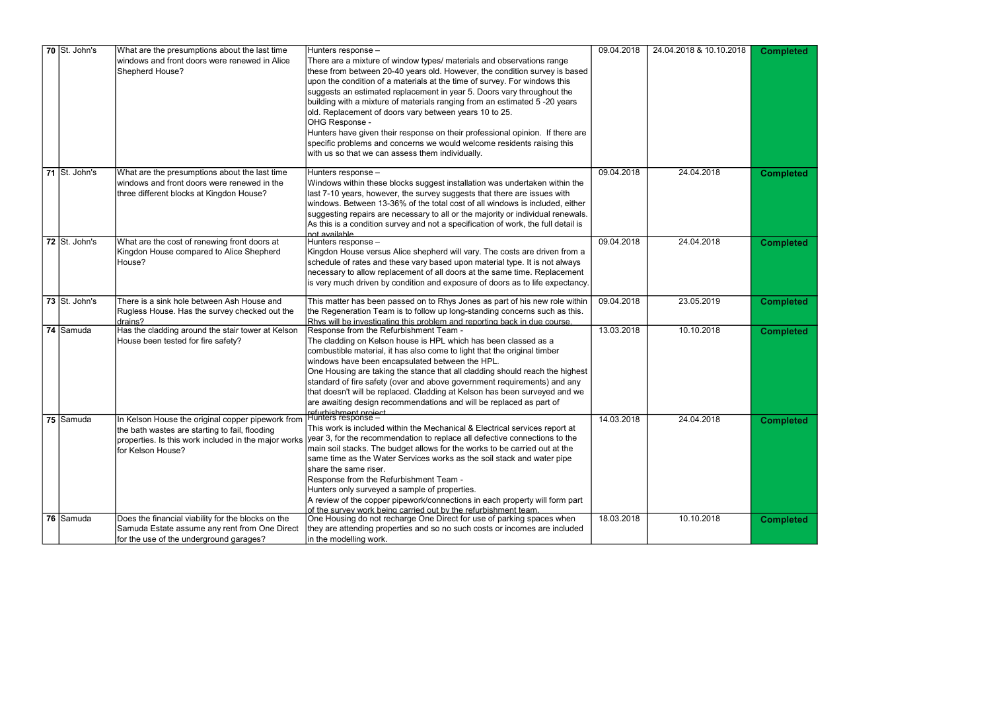|  | $70$ St. John's | What are the presumptions about the last time                        | Hunters response -                                                                                                                | 09.04.2018 | 24.04.2018 & 10.10.2018 | <b>Completed</b> |
|--|-----------------|----------------------------------------------------------------------|-----------------------------------------------------------------------------------------------------------------------------------|------------|-------------------------|------------------|
|  |                 | windows and front doors were renewed in Alice                        | There are a mixture of window types/ materials and observations range                                                             |            |                         |                  |
|  |                 | Shepherd House?                                                      | these from between 20-40 years old. However, the condition survey is based                                                        |            |                         |                  |
|  |                 |                                                                      | upon the condition of a materials at the time of survey. For windows this                                                         |            |                         |                  |
|  |                 |                                                                      | suggests an estimated replacement in year 5. Doors vary throughout the                                                            |            |                         |                  |
|  |                 |                                                                      | building with a mixture of materials ranging from an estimated 5-20 years                                                         |            |                         |                  |
|  |                 |                                                                      | old. Replacement of doors vary between years 10 to 25.                                                                            |            |                         |                  |
|  |                 |                                                                      | OHG Response -                                                                                                                    |            |                         |                  |
|  |                 |                                                                      | Hunters have given their response on their professional opinion. If there are                                                     |            |                         |                  |
|  |                 |                                                                      |                                                                                                                                   |            |                         |                  |
|  |                 |                                                                      | specific problems and concerns we would welcome residents raising this                                                            |            |                         |                  |
|  |                 |                                                                      | with us so that we can assess them individually.                                                                                  |            |                         |                  |
|  | 71 St. John's   | What are the presumptions about the last time                        | Hunters response -                                                                                                                | 09.04.2018 | 24.04.2018              | <b>Completed</b> |
|  |                 | windows and front doors were renewed in the                          | Windows within these blocks suggest installation was undertaken within the                                                        |            |                         |                  |
|  |                 | three different blocks at Kingdon House?                             | last 7-10 years, however, the survey suggests that there are issues with                                                          |            |                         |                  |
|  |                 |                                                                      | windows. Between 13-36% of the total cost of all windows is included, either                                                      |            |                         |                  |
|  |                 |                                                                      | suggesting repairs are necessary to all or the majority or individual renewals.                                                   |            |                         |                  |
|  |                 |                                                                      |                                                                                                                                   |            |                         |                  |
|  |                 |                                                                      | As this is a condition survey and not a specification of work, the full detail is<br>not available                                |            |                         |                  |
|  | 72 St. John's   | What are the cost of renewing front doors at                         | Hunters response -                                                                                                                | 09.04.2018 | 24.04.2018              | <b>Completed</b> |
|  |                 | Kingdon House compared to Alice Shepherd                             | Kingdon House versus Alice shepherd will vary. The costs are driven from a                                                        |            |                         |                  |
|  |                 | House?                                                               | schedule of rates and these vary based upon material type. It is not always                                                       |            |                         |                  |
|  |                 |                                                                      | necessary to allow replacement of all doors at the same time. Replacement                                                         |            |                         |                  |
|  |                 |                                                                      | is very much driven by condition and exposure of doors as to life expectancy.                                                     |            |                         |                  |
|  |                 |                                                                      |                                                                                                                                   |            |                         |                  |
|  | 73 St. John's   | There is a sink hole between Ash House and                           | This matter has been passed on to Rhys Jones as part of his new role within                                                       | 09.04.2018 | 23.05.2019              | <b>Completed</b> |
|  |                 | Rugless House. Has the survey checked out the                        | the Regeneration Team is to follow up long-standing concerns such as this.                                                        |            |                         |                  |
|  |                 | drains?                                                              | Rhys will be investigating this problem and reporting back in due course.                                                         |            |                         |                  |
|  | 74 Samuda       | Has the cladding around the stair tower at Kelson                    | Response from the Refurbishment Team -                                                                                            | 13.03.2018 | 10.10.2018              | <b>Completed</b> |
|  |                 | House been tested for fire safety?                                   | The cladding on Kelson house is HPL which has been classed as a                                                                   |            |                         |                  |
|  |                 |                                                                      | combustible material, it has also come to light that the original timber                                                          |            |                         |                  |
|  |                 |                                                                      | windows have been encapsulated between the HPL.                                                                                   |            |                         |                  |
|  |                 |                                                                      | One Housing are taking the stance that all cladding should reach the highest                                                      |            |                         |                  |
|  |                 |                                                                      | standard of fire safety (over and above government requirements) and any                                                          |            |                         |                  |
|  |                 |                                                                      | that doesn't will be replaced. Cladding at Kelson has been surveyed and we                                                        |            |                         |                  |
|  |                 |                                                                      | are awaiting design recommendations and will be replaced as part of                                                               |            |                         |                  |
|  |                 |                                                                      | refurbishment project                                                                                                             |            |                         |                  |
|  | 75 Samuda       | In Kelson House the original copper pipework from Hunters response - |                                                                                                                                   | 14.03.2018 | 24.04.2018              | <b>Completed</b> |
|  |                 | the bath wastes are starting to fail, flooding                       | This work is included within the Mechanical & Electrical services report at                                                       |            |                         |                  |
|  |                 |                                                                      | properties. Is this work included in the major works   year 3, for the recommendation to replace all defective connections to the |            |                         |                  |
|  |                 | for Kelson House?                                                    | main soil stacks. The budget allows for the works to be carried out at the                                                        |            |                         |                  |
|  |                 |                                                                      | same time as the Water Services works as the soil stack and water pipe                                                            |            |                         |                  |
|  |                 |                                                                      | Ishare the same riser.                                                                                                            |            |                         |                  |
|  |                 |                                                                      | Response from the Refurbishment Team -                                                                                            |            |                         |                  |
|  |                 |                                                                      | Hunters only surveyed a sample of properties.                                                                                     |            |                         |                  |
|  |                 |                                                                      | A review of the copper pipework/connections in each property will form part                                                       |            |                         |                  |
|  |                 |                                                                      | of the survev work being carried out by the refurbishment team.                                                                   |            |                         |                  |
|  | 76 Samuda       | Does the financial viability for the blocks on the                   | One Housing do not recharge One Direct for use of parking spaces when                                                             | 18.03.2018 | 10.10.2018              | <b>Completed</b> |
|  |                 | Samuda Estate assume any rent from One Direct                        | they are attending properties and so no such costs or incomes are included                                                        |            |                         |                  |
|  |                 | for the use of the underground garages?                              | in the modelling work.                                                                                                            |            |                         |                  |

| <b>Completed</b> |
|------------------|
| <b>Completed</b> |
| <b>Completed</b> |
| <b>Completed</b> |
| <b>Completed</b> |
| <b>Completed</b> |
| <b>Completed</b> |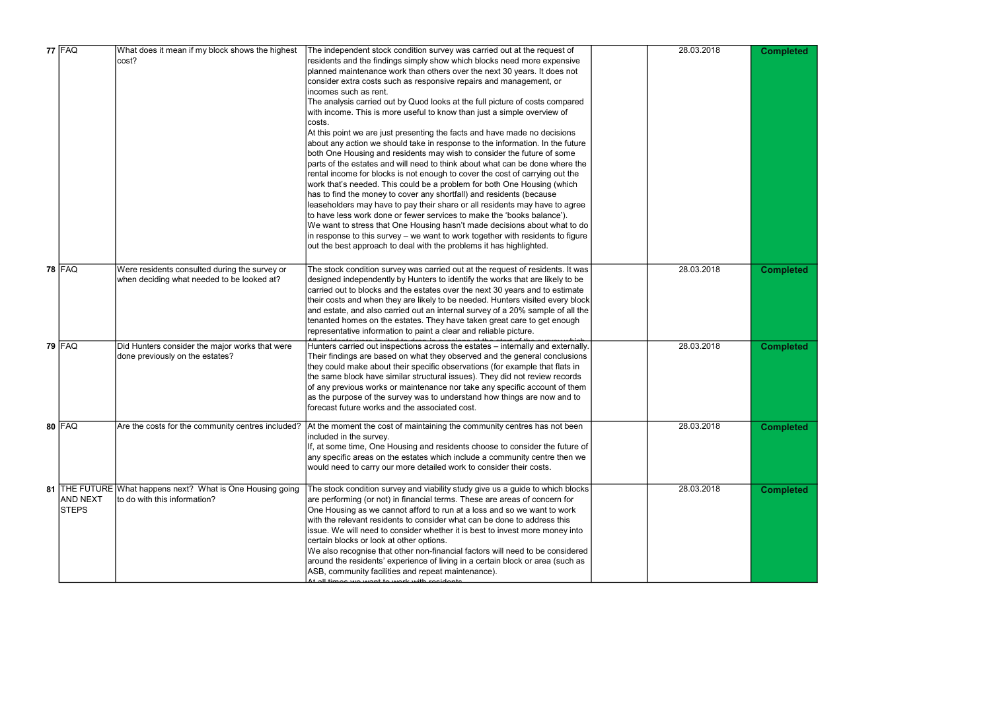| <b>77 FAQ</b>                   | What does it mean if my block shows the highest                                                | The independent stock condition survey was carried out at the request of                                                                                                                                                                                                                                                                                                                                                                                                                                                                                                                                                                                                                                                | 28.03.2018 | <b>Completed</b> |
|---------------------------------|------------------------------------------------------------------------------------------------|-------------------------------------------------------------------------------------------------------------------------------------------------------------------------------------------------------------------------------------------------------------------------------------------------------------------------------------------------------------------------------------------------------------------------------------------------------------------------------------------------------------------------------------------------------------------------------------------------------------------------------------------------------------------------------------------------------------------------|------------|------------------|
|                                 | cost?                                                                                          | residents and the findings simply show which blocks need more expensive<br>planned maintenance work than others over the next 30 years. It does not<br>consider extra costs such as responsive repairs and management, or<br>incomes such as rent.<br>The analysis carried out by Quod looks at the full picture of costs compared                                                                                                                                                                                                                                                                                                                                                                                      |            |                  |
|                                 |                                                                                                | with income. This is more useful to know than just a simple overview of<br>costs.<br>At this point we are just presenting the facts and have made no decisions<br>about any action we should take in response to the information. In the future<br>both One Housing and residents may wish to consider the future of some<br>parts of the estates and will need to think about what can be done where the<br>rental income for blocks is not enough to cover the cost of carrying out the<br>work that's needed. This could be a problem for both One Housing (which                                                                                                                                                    |            |                  |
|                                 |                                                                                                | has to find the money to cover any shortfall) and residents (because<br>leaseholders may have to pay their share or all residents may have to agree<br>to have less work done or fewer services to make the 'books balance').<br>We want to stress that One Housing hasn't made decisions about what to do<br>in response to this survey – we want to work together with residents to figure<br>out the best approach to deal with the problems it has highlighted.                                                                                                                                                                                                                                                     |            |                  |
| <b>78 FAQ</b>                   | Were residents consulted during the survey or<br>when deciding what needed to be looked at?    | The stock condition survey was carried out at the request of residents. It was<br>designed independently by Hunters to identify the works that are likely to be<br>carried out to blocks and the estates over the next 30 years and to estimate<br>their costs and when they are likely to be needed. Hunters visited every block<br>and estate, and also carried out an internal survey of a 20% sample of all the<br>tenanted homes on the estates. They have taken great care to get enough<br>representative information to paint a clear and reliable picture.                                                                                                                                                     | 28.03.2018 | <b>Completed</b> |
| $79$ FAQ                        | Did Hunters consider the major works that were<br>done previously on the estates?              | Hunters carried out inspections across the estates - internally and externally.<br>Their findings are based on what they observed and the general conclusions<br>they could make about their specific observations (for example that flats in<br>the same block have similar structural issues). They did not review records<br>of any previous works or maintenance nor take any specific account of them<br>as the purpose of the survey was to understand how things are now and to<br>forecast future works and the associated cost.                                                                                                                                                                                | 28.03.2018 | <b>Completed</b> |
| 80 FAQ                          | Are the costs for the community centres included?                                              | At the moment the cost of maintaining the community centres has not been<br>included in the survey.<br>If, at some time, One Housing and residents choose to consider the future of<br>any specific areas on the estates which include a community centre then we<br>would need to carry our more detailed work to consider their costs.                                                                                                                                                                                                                                                                                                                                                                                | 28.03.2018 | <b>Completed</b> |
| <b>AND NEXT</b><br><b>STEPS</b> | 81   THE FUTURE   What happens next? What is One Housing going<br>to do with this information? | The stock condition survey and viability study give us a guide to which blocks<br>are performing (or not) in financial terms. These are areas of concern for<br>One Housing as we cannot afford to run at a loss and so we want to work<br>with the relevant residents to consider what can be done to address this<br>issue. We will need to consider whether it is best to invest more money into<br>certain blocks or look at other options.<br>We also recognise that other non-financial factors will need to be considered<br>around the residents' experience of living in a certain block or area (such as<br>ASB, community facilities and repeat maintenance).<br>At all times we want to work with residents | 28.03.2018 | <b>Completed</b> |

| Completed        |
|------------------|
|                  |
| Completed        |
| <b>Completed</b> |
| <b>Completed</b> |
| <b>Completed</b> |